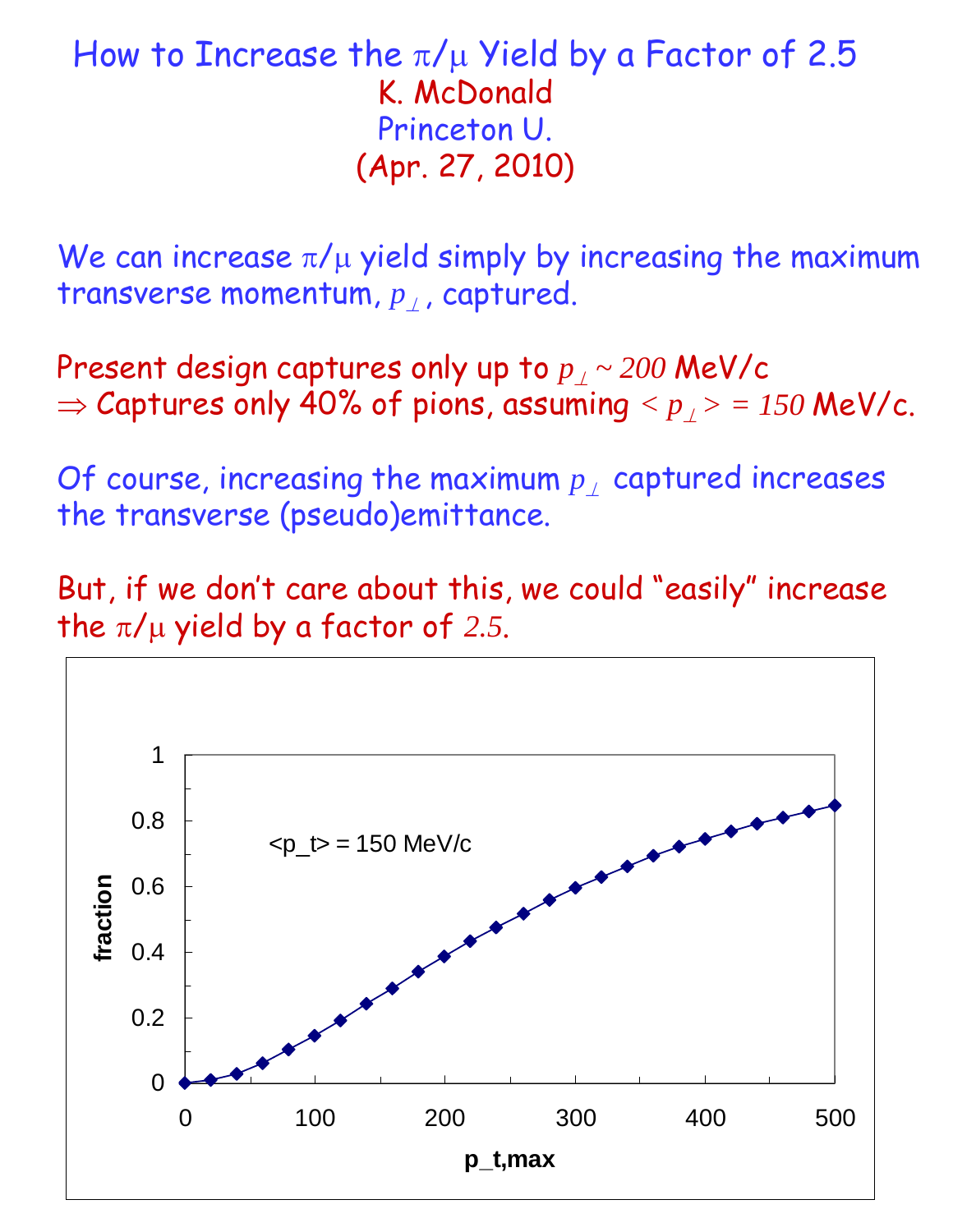## How to Increase the  $\pi/\mu$  Yield by a Factor of 2.5 K. McDonald Princeton U. (Apr. 27, 2010)

We can increase  $\pi/\mu$  yield simply by increasing the maximum transverse momentum, *p*, captured.

Present design captures only up to *p ~ 200* MeV/c  $\Rightarrow$  Captures only 40% of pions, assuming  $\langle p \rangle > 150$  MeV/c.

Of course, increasing the maximum  $p_{\perp}$  captured increases the transverse (pseudo)emittance.

But, if we don't care about this, we could "easily" increase the  $\pi/\mu$  yield by a factor of 2.5.